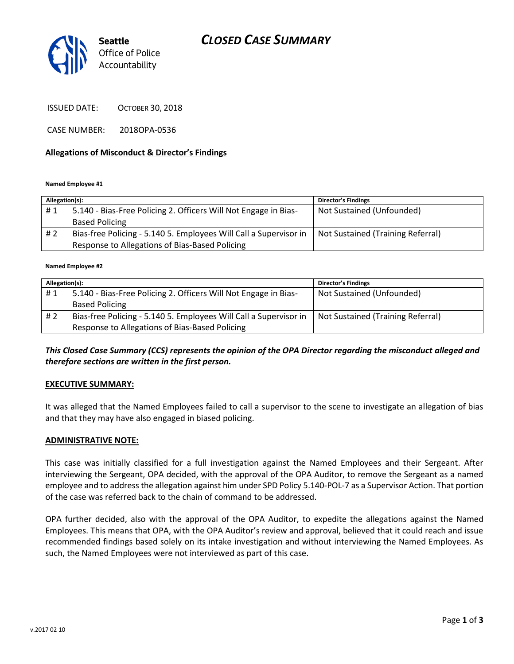# *CLOSED CASE SUMMARY*



ISSUED DATE: OCTOBER 30, 2018

CASE NUMBER: 2018OPA-0536

### **Allegations of Misconduct & Director's Findings**

#### **Named Employee #1**

| Allegation(s): |                                                                   | <b>Director's Findings</b>        |
|----------------|-------------------------------------------------------------------|-----------------------------------|
| #1             | 5.140 - Bias-Free Policing 2. Officers Will Not Engage in Bias-   | Not Sustained (Unfounded)         |
|                | <b>Based Policing</b>                                             |                                   |
| # 2            | Bias-free Policing - 5.140 5. Employees Will Call a Supervisor in | Not Sustained (Training Referral) |
|                | Response to Allegations of Bias-Based Policing                    |                                   |

#### **Named Employee #2**

| Allegation(s): |                                                                   | <b>Director's Findings</b>        |
|----------------|-------------------------------------------------------------------|-----------------------------------|
| #1             | 5.140 - Bias-Free Policing 2. Officers Will Not Engage in Bias-   | Not Sustained (Unfounded)         |
|                | <b>Based Policing</b>                                             |                                   |
| # 2            | Bias-free Policing - 5.140 5. Employees Will Call a Supervisor in | Not Sustained (Training Referral) |
|                | Response to Allegations of Bias-Based Policing                    |                                   |

## *This Closed Case Summary (CCS) represents the opinion of the OPA Director regarding the misconduct alleged and therefore sections are written in the first person.*

#### **EXECUTIVE SUMMARY:**

It was alleged that the Named Employees failed to call a supervisor to the scene to investigate an allegation of bias and that they may have also engaged in biased policing.

#### **ADMINISTRATIVE NOTE:**

This case was initially classified for a full investigation against the Named Employees and their Sergeant. After interviewing the Sergeant, OPA decided, with the approval of the OPA Auditor, to remove the Sergeant as a named employee and to address the allegation against him under SPD Policy 5.140-POL-7 as a Supervisor Action. That portion of the case was referred back to the chain of command to be addressed.

OPA further decided, also with the approval of the OPA Auditor, to expedite the allegations against the Named Employees. This means that OPA, with the OPA Auditor's review and approval, believed that it could reach and issue recommended findings based solely on its intake investigation and without interviewing the Named Employees. As such, the Named Employees were not interviewed as part of this case.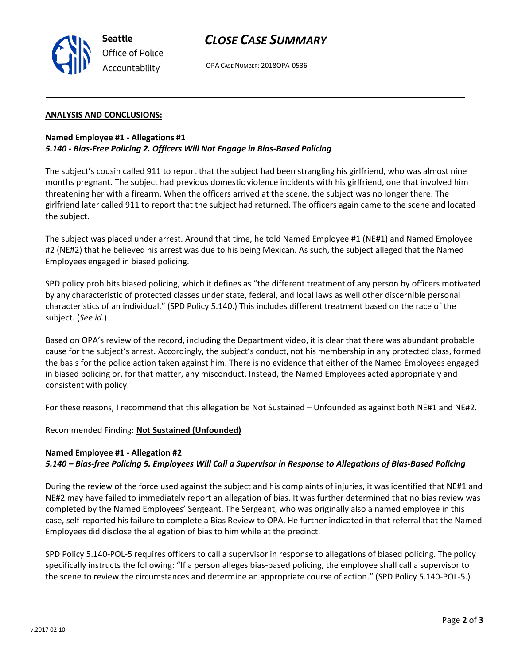



#### **ANALYSIS AND CONCLUSIONS:**

**Seattle**

*Office of Police Accountability*

## **Named Employee #1 - Allegations #1** *5.140 - Bias-Free Policing 2. Officers Will Not Engage in Bias-Based Policing*

The subject's cousin called 911 to report that the subject had been strangling his girlfriend, who was almost nine months pregnant. The subject had previous domestic violence incidents with his girlfriend, one that involved him threatening her with a firearm. When the officers arrived at the scene, the subject was no longer there. The girlfriend later called 911 to report that the subject had returned. The officers again came to the scene and located the subject.

The subject was placed under arrest. Around that time, he told Named Employee #1 (NE#1) and Named Employee #2 (NE#2) that he believed his arrest was due to his being Mexican. As such, the subject alleged that the Named Employees engaged in biased policing.

SPD policy prohibits biased policing, which it defines as "the different treatment of any person by officers motivated by any characteristic of protected classes under state, federal, and local laws as well other discernible personal characteristics of an individual." (SPD Policy 5.140.) This includes different treatment based on the race of the subject. (*See id*.)

Based on OPA's review of the record, including the Department video, it is clear that there was abundant probable cause for the subject's arrest. Accordingly, the subject's conduct, not his membership in any protected class, formed the basis for the police action taken against him. There is no evidence that either of the Named Employees engaged in biased policing or, for that matter, any misconduct. Instead, the Named Employees acted appropriately and consistent with policy.

For these reasons, I recommend that this allegation be Not Sustained – Unfounded as against both NE#1 and NE#2.

Recommended Finding: **Not Sustained (Unfounded)**

### **Named Employee #1 - Allegation #2**

#### *5.140 – Bias-free Policing 5. Employees Will Call a Supervisor in Response to Allegations of Bias-Based Policing*

During the review of the force used against the subject and his complaints of injuries, it was identified that NE#1 and NE#2 may have failed to immediately report an allegation of bias. It was further determined that no bias review was completed by the Named Employees' Sergeant. The Sergeant, who was originally also a named employee in this case, self-reported his failure to complete a Bias Review to OPA. He further indicated in that referral that the Named Employees did disclose the allegation of bias to him while at the precinct.

SPD Policy 5.140-POL-5 requires officers to call a supervisor in response to allegations of biased policing. The policy specifically instructs the following: "If a person alleges bias‐based policing, the employee shall call a supervisor to the scene to review the circumstances and determine an appropriate course of action." (SPD Policy 5.140-POL-5.)